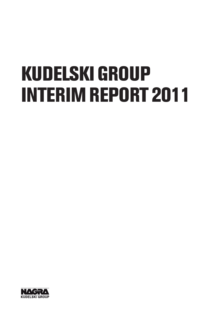# KUDELSKI GROUP INTERIM REPORT 2011

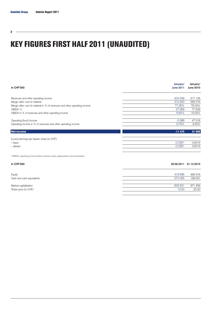# KEY FIGURES FIRST HALF 2011 (UNAUDITED)

| In CHF'000                                                                                  | January/<br><b>June 2011</b> | January/<br><b>June 2010</b> |
|---------------------------------------------------------------------------------------------|------------------------------|------------------------------|
|                                                                                             |                              |                              |
| Revenues and other operating income                                                         | 404 508                      | 517 106                      |
| Margin after cost of material                                                               | 312940                       | 393 216                      |
| Margin after cost of material in % of revenues and other operating income                   | 77.36%                       | 76.00%                       |
| OIBDA 1)                                                                                    | 27 658                       | 77 649                       |
| OIBDA in % of revenues and other operating income                                           | 6.84%                        | 15.00%                       |
| Operating (loss)/income                                                                     | $-3088$                      | 47518                        |
| Operating income in % of revenues and other operating income                                | $-0.76%$                     | 9.20%                        |
| <b>Net income</b>                                                                           | $-11475$                     | 31 999                       |
| (Loss)/earnings per bearer share (in CHF)                                                   |                              |                              |
| - basic                                                                                     | $-0.2351$                    | 0.6015                       |
| - diluted                                                                                   | $-0.2351$                    | 0.6015                       |
| <sup>1)</sup> OIBDA: operating income before interest, taxes, depreciation and amortization |                              |                              |
| In CHF'000                                                                                  | 30.06.2011 31.12.2010        |                              |
|                                                                                             | $\cdots$ $\sim$ $\sim$       | .                            |

| Equity                    | 418696  | 466 618 |
|---------------------------|---------|---------|
| Cash and cash equivalents | 274 056 | 199 031 |
|                           |         |         |
| Market capitalization     | 633 631 | 971 459 |
| Share price (in CHF)      | 13.00   | 20.00   |
|                           |         |         |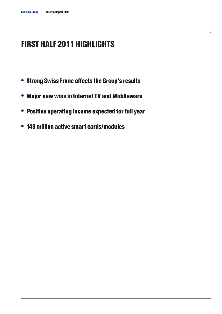# FIRST HALF 2011 HIGHLIGHTS

- Strong Swiss Franc affects the Group's results
- Major new wins in Internet TV and Middleware
- Positive operating income expected for full year
- 149 million active smart cards/modules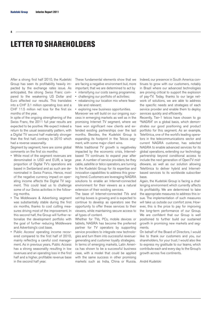# LETTER TO SHAREHOLDERS

After a strong first half 2010, the Kudelski Group has seen its profitability heavily impacted by the exchange rates issue. As anticipated, the strong Swiss Franc compared to the weakening US Dollar and Euro affected our results. This translates into a CHF 3.1 million operating loss and a CHF 11.5 million net loss for the first six months of the year.

In spite of the ongoing strengthening of the Swiss Franc, the 2011 full year results are expected to be positive. We expect indeed a return to the usual seasonality pattern, with a Digital TV second half materially stronger than the first half, contrary to 2010 which had a reverse seasonality.

Segment by segment, here are some global comments on the first six months:

- While most of the segment revenues are denominated in USD and EUR, a large proportion of Digital TV's operations are based in Switzerland and as such are denominated in Swiss Francs. Hence, most of the negative currency impact on operating income affects the Digital TV segment. This could lead us to challenge some of our Swiss activities in the following months.
- The Middleware & Advertising segment was substiantially stable during the first six months, thanks to cost cutting measures driving most of the improvement. In this second half, the Group will further rationalize the development portfolio with the goal of further reducing Middleware and Advertising's cost base.
- Public Access' operating income recovered compared to the first half of 2010, mainly reflecting a careful cost management. As in previous years, Public Access has a strong seasonality resulting in low revenues and an operating loss in the first half and a higher, profitable revenue base in the second half year.

These fundamental elements show that we are facing a negative environment but, more important, that we are determined to act by

- intensifying our costs saving programme;
- challenging our portfolio of activities;
- rebalancing our location mix where feasible and relevant;

exploring new business opportunities.

Moreover we will build on our ongoing success in ermerging markets as well as in the promising Internet TV segment, where we have won significant new clients and extended existing partnerships over the last months. Besides, the Kudelski Group is expanding its footprint in the Telcos segment, with some major client wins.

While traditional TV growth is negativeley impacted by the economic crisis, Internetbased TV continues to expand year after year. A number of service providers, be they cable, satellite or telco operators, are turning to the Kudelski Group for its expertise and innovation capabilities to address this growing trend. Customers are leveraging NAGRA solutions to enable an Internet-connected environment for their viewers as a natural extension of their existing services.

The base of Internet-connected TVs and set-top boxes is growing and is expected to continue to develop as operators see the opportunity to offer these services to their viewers, while maintaining secure access to all types of content.

Whether for TVs, PCs, mobile devices or tablets, NAGRA has become the preferred partner for TV operators by supporting service providers to integrate new technologies and turn them into successful revenuegenerating and customer loyalty strategies. In terms of emerging markets, Latin America has shown to be a successful business case, with a model that could be applied with the same success in other promising markets such as India, China or Russia. Indeed, our presence in South America continues to grow with our customers, notably in Brazil where our advanced technologies are proving critical to support the explosion of pay-TV. Today, thanks to our large network of solutions, we are able to address the specific needs and strategies of each service provider and enable them to deploy services quickly and efficiently.

Recently, Tier-1 telcos have chosen to go "NAGRA" on a global basis, which demonstrates our good positioning and product portfolio for this segment. As an example, Telefónica, one of the world's leading operators in the telecommunications sector and current NAGRA customer, has selected NAGRA to enable advanced services for its global operations, extending our technology partnership beyond conditional access to include the next generation of OpenTV middleware, as well as our solution allowing Telefónica to deliver hybrid and Internetbased services to its worldwide subscriber base.

Again, the Kudelski Group is facing a challenging environment which currently affects its profitability. We are determined to take the appropriate measures to address this issue. The implementation of such measures will take us outside our comfort zone. However, this is the price to pay for improving the long-term performance of our Group. We are confident that our Group is well positioned to further build our sustained growth in promising new markets and segments.

On behalf of the Board of Directors, I would like to thank our customers and you, our shareholders, for your trust. I would also like to express my gratitude to our teams, which contribute each and every day to the Group's growth across five continents.

André Kudelski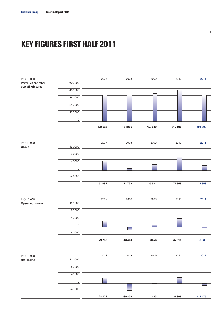### **KEY FIGURES FIRST HALF 2011 Key figures field**



5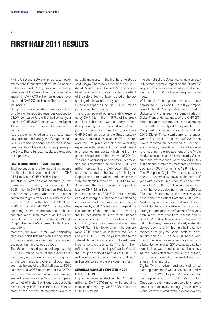# FIRST HALF 2011 RESULTS

Falling USD and EUR exchange rates heavily affected the Group first half results. Compared to the first half 2010, declining exchange rates against the Swiss Franc had a negative impact of CHF 67.0 million on Group's revenues and CHF 27.4 million on Group's operating income.

Group revenues in constant currency declined by 8.5%, while reported revenues dropped by 21.9% compared to the first half of last year, reaching CHF 392.2 million, with the Digital TV segment driving most of the revenue inflection.

As the aforementioned currency effects materially affected profitability, the Group posted a CHF 3.1 million operating loss for the first half year. In spite of the ongoing strengthening of the Swiss Franc, full year results are expected to be positive.

#### LOWER GROUP REVENUE AND COST BASE

Total revenues and other operating income for the first half year declined from CHF 517.1 million to CHF 404.5 million.

The "Margin after cost of material" (a proforma non-IFRS item) decreased by CHF 80.3 million to CHF 312.9 million. Relative to total revenues, margin after cost of material continued to grow from 71.4% in the first half 2009 to 76.0% in the first half 2010 and 77.4% in this first half 2011. The high other operating income contributed to both last and this year's high margin, as the Group benefits from innovation subsidies ("Crédit d'Impôt Recherche") accrued to its French operations.

Moreover, the revenue mix was particularly favorable in this first half with a higher share of royalty-based revenues and less system business than in previous periods.

The Group reduced personnel expenses by CHF 11.9 million, 5.8% of the previous first half's cost, with currency effects driving most of the cost reduction. Overall, Group headcount at the end of the first half was at 3'010 compared to 3'068 at the end of 2010. The end of June headcount includes 50 employees in the newly set-up Group Indian operations. Net of India, the Group decreased its headcount by 108 units in the last six months. Most of the headcount reduction is due to

portfolio measures. In the first half, the Group sold Nagra Thompson Licensing and liquidated Medioh and EmbedICs. The above headcount reduction also includes the effect of the sale of Polyright, completed at the beginning of this second half year.

Personnel expenses include CHF 3.2 million pension-related charges.

The Group reduced other operating expenses by CHF 18.4 million, 16.7% of the previous first half's cost, with currency effects driving roughly half of the cost reduction. In particular, legal and consultancy costs are CHF 5.5 million lower, as the Group systematically reduced such costs in 2011. Moreover, the Group reduced all other operating expenses with the exception of development and engineering costs, which further increased compared to the first half of 2010. The Group operating income before depreciation and amortization amounts to CHF 27.7 million, representing a CHF 50.0 million decrease compared to the first half of last year. Depreciation, amortization and impairments were substantially stable at CHF 30.7 million. As a result, the Group booked an operating loss for CHF 3.1 million.

Interest expenses of CHF 7.4 million mainly consist of charges related to the outstanding convertible bond. The Group reduced interest expenses by CHF 1.2 million as it repaid the last tranche of the loan aimed at financing the full acquisition of OpenTV. Net finance income amounts to CHF 0.3 million. At CHF 0.2 million, the share of results of associates is CHF 3.9 million lower than in the comparable 2010 period, as last year the Group booked a CHF 3.1 million gain related to the sale of its remaining stake in Ticketcorner. Income tax expenses amount to 1.4 million, reflecting the decrease in profitability. Overall, the Group generated a net loss of CHF 11.5 million, representing a decrease of CHF 43.5 million compared to the previous first half.

#### STRONG SEASONALITY EXPECTED IN 2011 FOR DIGITAL TV

Digital TV revenues declined by CHF 92.1 million to CHF 257.6 million, while operating income declined by CHF 59.8 million to CHF 14.6 million.

The strength of the Swiss Franc had a particularly strong negative impact on the Digital TV segment. Currency effects had a negative impact of CHF 46.5 million on segment revenues.

While most of the segment revenues are denominated in USD and EUR, a large proportion of Digital TV's operations are based in Switzerland and as such are denominated in Swiss Francs. Hence, most of the CHF 27.4 million negative currency impact on operating income affects the Digital TV segment.

Compared to an exceptionally strong first half 2010, Digital TV constant currency revenues were 13% lower. In the first half 2010, the Group reported an exceptional 21.4% constant currency growth as it posted material revenues from the replacement of the Virgin Media installed base of smart cards. As no such one-off revenues were booked in this first half, the number of smart cards delivered declined by 6.5 million units to 13.9 million.

The European Digital TV business experienced a severe slow-down in the first half year, with a 35.1% reduction of reported revenues to CHF 131.8 million. In constant currency, the revenue decline amounts to 25.2%. The main factor driving the lower revenue base is the base effect from the 2010 Virgin Media swap-out. The Group Italian and Spanish digital terrestrial delivered a particularly strong performance in the first half of last year, both in the core conditional access and in SmarDTV module businesses. In the second half of last year, these sales already materially slowed down and in this first half they remained at roughly the same levels as in the second half 2010. The newly launched German HD+ retail business was a strong contributor to the first half 2010 sales as distribution pipelines were filled to support the launch. As the base effect from the launch ceased, this business generated materially lower revenues in this first half.

Digital TV's American business maintained a strong momentum with a constant currency growth of 19.7%. Digital TV's revenues for the region amount to CHF 92.5 million. Once again, Latin American operations represented a particularly strong growth driver. Dish/Echostar-related revenues were lower as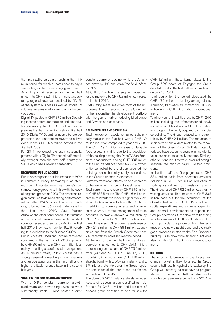the first inactive cards are reaching the minimum period, for which all cards have to pay a service fee, and hence stop paying such fee.

Asian Digital TV revenues for the first half amount to CHF 33.2 million. In constant currency, regional revenues declined by 25.1%, as the system business as well as mobile TV volumes were materially lower than in the previous year.

Digital TV posted a CHF 37.5 million Operating income before depreciation and amortization, decreasing by CHF 58.6 million from the previous first half. Following a strong first half 2010, Digital TV Operating income before depreciation and amortization reverts to a level close to the CHF 37.5 million posted in the first half 2009.

For 2011, we expect the usual seasonality patterns with a Digital TV second half materially stronger than the first half, contrary to 2010 which had a reverse seasonality.

#### RECOVERING PUBLIC ACCESS

Public Access posted a sales increase of 2.9% in constant currency, translating in an 8.3% reduction of reported revenues. Europe's constant currency growth was in line with the overall segment growth at 2.9%. The American region continues to deliver a strong performance, with a further 17.4% constant currency growth rate, following the 25% growth rate posted in the first half 2010. Asia Pacific/ Africa, on the other hand, continue to fluctuate around a small revenue base: while constant currency revenues grew by 37.7% in the first half 2010, they now shrunk by 19.2% reverting to a level close to the first half 2009's.

Public Access's Operating Income recovered compared to the first half of 2010, improving by CHF 3.0 million to a CHF 6.7 million loss, mainly reflecting a careful cost management. As in previous years, Public Access has a strong seasonality resulting in low revenues and an operating loss in the first half and a higher, profitable revenue base in the second half year.

#### STABLE MIDDLEWARE AND ADVERTISING

With a 0.3% constant currency growth, middleware and advertising revenues were substantially stable. Europe posted a 2.5%

constant currency decline, while the Americas grew by 1% and Asia/Pacific & Africa by 2.6%.

At CHF 0.7 million, the segment operating loss is improving by CHF 5.3 million compared to first half 2010.

Cost cutting measures drove most of the improvement. In this second half, the Group will further rationalize the development portfolio with the goal of further reducing Middleware and Advertising's cost base.

#### **BALANCE SHEET AND CASH FLOW**

Total non-current assets remained substantially stable in this first half, with a CHF 4.0 million reduction compared to year end 2010. The CHF 19.7 million increase of tangible fixed assets is mainly due to the acquisition of the building hosting the OpenTV San Francisco headquarters, adding CHF 33.5 million to the Group's balance sheet. A 49.9%-owned entity controlled by the Group acquired the building: hence, the entity is fully consolidated in the Group's financial statements.

Currency translation effects led to a decrease of the remaining non-current asset items.

Total current assets rose by CHF 37.9 million to CHF 636.5 million. The CHF 1.6 million increase of inventories reflects higher stock levels at SkiData and a reduction within Digital TV. In addition to currency effects and a lower sales volume, a careful management of trade accounts receivable allowed a reduction by CHE 59.9 million to CHE 185.6 million compared to year end. Other current assets rose by CHF 21.8 million to CHF 88.1 million, as subsidies due from the French Government and VAT receivables increased over the period.

At the end of the first half, cash and cash equivalents amounted to CHF 274.1 million, representing an increase of CHF 75.2 million from year end 2010. On June 16, 2011, Kudelski SA issued a new CHF 110 million straight bond, with a 5.5-year maturity and a 3% interest rate. Moreover, the Group repaid the remainder of the loan taken out for the acquisition of OpenTV.

The June 30, 2011 balance sheets includes Assets of disposal group classified as held for sale for CHF 1 million and Liabilities of disposal group classified as held for sale for

CHF 1.3 million. These items relates to the Group 50% share of Polyright, the Group decided to sell in the first half and actually sold on July 18, 2011.

Total equity for the period decreased by CHF 47.9 million, reflecting, among others, a currency translation adjustment of CHF 27.2 million and a CHF 16.0 million dividendpayment.

Total non-current liabilities rose by CHF 124.0 million, including the aforementioned newly issued straight bond and a CHF 15.7 million mortgage on the newly acquired San Francisco building. The Group reduced total current liability by CHF 42.4 million. The reduction of short-term financial debt relates to the repayment of the OpenTV loan. SkiData materially reduced trade accounts payable in line with its usual business seasonality patterns. Similarly, other current liabilities were lower, reflecting a seasonal reduction of payroll –related provisions.

In the first half, the Group generated CHF 35.4 million cash from operating activities, including a CHF 15.6 million reduction of working capital net of translation effects. The Group used CHF 52.9 million cash for investing activities. This includes a CHF 33.5 million cash out for the acquisition of the OpenTV building and CHF 19.6 million of capital expenditures and software acquisition and external developments to support the Group's operations. Cash flow from financing activities amounts to CHF 99.0 million, including in particular the proceeds from the issuance of the new straight bond and the mortgage proceeds related to the San Francisco building. Cash flow from financing activities also includes CHF 16.0 million dividend payment.

#### **OUTLOOK**

The ongoing turbulence in the foreign exchange market is likely to affect the Group second half results. Against this backdrop, the Group will intensify its cost savings program starting in this second half. Tangible results from this program are expected from 2012 on.

7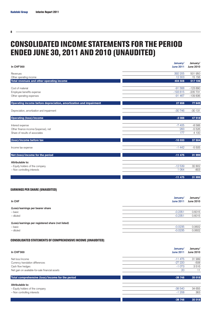# CONSOLIDATED INCOME STATEMENTS FOR THE PERIOD ENDED JUNE 30, 2011 AND 2010 (UNAUDITED)

| In CHF'000                                                        | January/<br><b>June 2011</b> | January/<br><b>June 2010</b> |
|-------------------------------------------------------------------|------------------------------|------------------------------|
| Revenues                                                          | 392 205                      | 501 950                      |
| Other operating income                                            | 12 30 3                      | 15 15 6                      |
| Total revenues and other operating income                         | 404 508                      | 517 106                      |
|                                                                   |                              |                              |
| Cost of material                                                  | $-91568$                     | $-123890$                    |
| Employee benefits expense                                         | $-193815$                    | $-205731$                    |
| Other operating expenses                                          | $-91467$                     | $-109836$                    |
| Operating income before depreciation, amortization and impairment | 27 658                       | 77 649                       |
| Depreciation, amortization and impairment                         | $-30746$                     | $-30131$                     |
| <b>Operating (loss)/income</b>                                    | $-3088$                      | 47 518                       |
| Interest expense                                                  | $-7405$                      | $-8588$                      |
| Other finance income/(expense), net                               | 283                          | $-5526$                      |
| Share of results of associates                                    | 177                          | 4 100                        |
| (loss)/income before tax                                          | $-10033$                     | 37 504                       |
| Income tax expense                                                | $-1442$                      | $-5505$                      |
| Net (loss)/income for the period                                  | $-11475$                     | 31 999                       |
| Attributable to:                                                  |                              |                              |
| - Equity holders of the company                                   | $-12539$                     | 32 802                       |
| - Non controlling interests                                       | 1 0 6 4                      | $-803$                       |
|                                                                   | $-11475$                     | 31 999                       |

### EARNINGS PER SHARE (UNAUDITED)

| In CHF                                            | January/<br><b>June 2011</b> | January/<br>June 2010 |
|---------------------------------------------------|------------------------------|-----------------------|
| (Loss)/earnings per bearer share                  |                              |                       |
| - basic                                           | $-0.2351$                    | 0.6015                |
| - diluted                                         | $-0.2351$                    | 0.6015                |
| (Loss)/earnings per registered share (not listed) |                              |                       |
| - basic                                           | $-0.0235$                    | 0.0602                |
| - diluted                                         | $-0.0235$                    | 0.0602                |

### CONSOLIDATED STATEMENTS OF COMPREHENSIVE INCOME (UNAUDITED)

| <b>In CHF'000</b>                                | January/<br><b>June 2011</b> | January/<br>June 2010 |
|--------------------------------------------------|------------------------------|-----------------------|
| Net loss/income                                  | $-11475$                     | 31999                 |
| Currency translation differences                 | $-27220$                     | $-508$                |
| Cash flow hedges                                 | $-1073$                      | 3516                  |
| Net gain on available-for-sale financial assets  | 20                           |                       |
| Total comprehensive (loss)/income for the period | $-39748$                     | 35 018                |

### **Attributable to:** – Equity holders of the company and the company and the company of the company of the company of the company of the company of the company of the company of the company of the company of the company of the company of the c – Non controlling interests

-39 748 35 018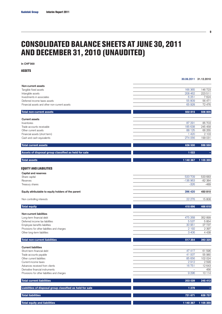# CONSOLIDATED BALANCE SHEETS AT JUNE 30, 2011 AND DECEMBER 31, 2010 (UNAUDITED)

**In CHF'000**

ASSETS

| Non-current assets<br>166 365<br>146723<br>Tangible fixed assets<br>208 462<br>223 511<br>Intangible assets<br>6 2 5 1<br>7624<br>Investments in associates<br>55 809<br>56 471<br>Deferred income taxes assets<br>65 9 28<br>Financial assets and other non-current assets<br>72 476<br><b>Total non-current assets</b><br>502 815<br>506 805<br><b>Current assets</b><br>87 291<br>85 703<br>Inventories<br>185 638<br>245 458<br>Trade accounts receivable<br>88 1 25<br>66 255<br>Other current assets<br>1 4 2 0<br>2 1 0 3<br>Financial assets (short term)<br>274 056<br>199 031<br>Cash and cash equivalents<br><b>Total current assets</b><br>636 530<br>598 550<br>Assets of disposal group classified as held for sale<br>1 0 2 2<br><b>Total assets</b><br>1 140 367<br>1 105 355<br><b>EQUITY AND LIABILITIES</b><br>Capital and reserves<br>533709<br>533 683<br>Share capital<br>$-136963$<br>$-82384$<br>Reserves<br>$-326$<br>-489<br>Treasury shares<br>396 420<br>450 810<br>Equity attributable to equity holders of the parent<br>22 276<br>15808<br>Non controlling interests<br><b>Total equity</b><br>466 618<br>418 696<br>Non-current liabilities<br>475 268<br>352 899<br>Long-term financial debt<br>5537<br>Deferred income tax liabilities<br>5854<br>30 951<br>27 737<br>Employee benefits liabilities<br>2 1 9 2<br>2 3 9 7<br>Provisions for other liabilities and charges<br>3 4 0 6<br>4 4 3 8<br>Other long-term liabilities<br><b>Total non-current liabilities</b><br>393 325<br>517354<br><b>Current liabilities</b><br>Short-term financial debt<br>47417<br>61596<br>41 007<br>55 980<br>Trade accounts payable<br>85 656<br>102 024<br>Other current liabilities<br>Current income taxes<br>2912<br>2599<br>16751<br>12 643<br>Advances received from clients<br>Derivative financial instruments<br>456<br>9 2 9 6<br>Provisions for other liabilities and charges<br>10 114<br><b>Total current liabilities</b><br>203 039<br>245 412<br>Liabilities of disposal group classified as held for sale<br>1 2 7 8<br><b>Total liabilities</b><br>721 671<br>638 737<br><b>Total equity and liabilities</b><br>1 140 367<br>1 105 355 |  | 30.06.2011 31.12.2010 |
|------------------------------------------------------------------------------------------------------------------------------------------------------------------------------------------------------------------------------------------------------------------------------------------------------------------------------------------------------------------------------------------------------------------------------------------------------------------------------------------------------------------------------------------------------------------------------------------------------------------------------------------------------------------------------------------------------------------------------------------------------------------------------------------------------------------------------------------------------------------------------------------------------------------------------------------------------------------------------------------------------------------------------------------------------------------------------------------------------------------------------------------------------------------------------------------------------------------------------------------------------------------------------------------------------------------------------------------------------------------------------------------------------------------------------------------------------------------------------------------------------------------------------------------------------------------------------------------------------------------------------------------------------------------------------------------------------------------------------------------------------------------------------------------------------------------------------------------------------------------------------------------------------------------------------------------------------------------------------------------------------------------------------------------------------------------------------------------------------------------------------------------------------------------------------|--|-----------------------|
|                                                                                                                                                                                                                                                                                                                                                                                                                                                                                                                                                                                                                                                                                                                                                                                                                                                                                                                                                                                                                                                                                                                                                                                                                                                                                                                                                                                                                                                                                                                                                                                                                                                                                                                                                                                                                                                                                                                                                                                                                                                                                                                                                                              |  |                       |
|                                                                                                                                                                                                                                                                                                                                                                                                                                                                                                                                                                                                                                                                                                                                                                                                                                                                                                                                                                                                                                                                                                                                                                                                                                                                                                                                                                                                                                                                                                                                                                                                                                                                                                                                                                                                                                                                                                                                                                                                                                                                                                                                                                              |  |                       |
|                                                                                                                                                                                                                                                                                                                                                                                                                                                                                                                                                                                                                                                                                                                                                                                                                                                                                                                                                                                                                                                                                                                                                                                                                                                                                                                                                                                                                                                                                                                                                                                                                                                                                                                                                                                                                                                                                                                                                                                                                                                                                                                                                                              |  |                       |
|                                                                                                                                                                                                                                                                                                                                                                                                                                                                                                                                                                                                                                                                                                                                                                                                                                                                                                                                                                                                                                                                                                                                                                                                                                                                                                                                                                                                                                                                                                                                                                                                                                                                                                                                                                                                                                                                                                                                                                                                                                                                                                                                                                              |  |                       |
|                                                                                                                                                                                                                                                                                                                                                                                                                                                                                                                                                                                                                                                                                                                                                                                                                                                                                                                                                                                                                                                                                                                                                                                                                                                                                                                                                                                                                                                                                                                                                                                                                                                                                                                                                                                                                                                                                                                                                                                                                                                                                                                                                                              |  |                       |
|                                                                                                                                                                                                                                                                                                                                                                                                                                                                                                                                                                                                                                                                                                                                                                                                                                                                                                                                                                                                                                                                                                                                                                                                                                                                                                                                                                                                                                                                                                                                                                                                                                                                                                                                                                                                                                                                                                                                                                                                                                                                                                                                                                              |  |                       |
|                                                                                                                                                                                                                                                                                                                                                                                                                                                                                                                                                                                                                                                                                                                                                                                                                                                                                                                                                                                                                                                                                                                                                                                                                                                                                                                                                                                                                                                                                                                                                                                                                                                                                                                                                                                                                                                                                                                                                                                                                                                                                                                                                                              |  |                       |
|                                                                                                                                                                                                                                                                                                                                                                                                                                                                                                                                                                                                                                                                                                                                                                                                                                                                                                                                                                                                                                                                                                                                                                                                                                                                                                                                                                                                                                                                                                                                                                                                                                                                                                                                                                                                                                                                                                                                                                                                                                                                                                                                                                              |  |                       |
|                                                                                                                                                                                                                                                                                                                                                                                                                                                                                                                                                                                                                                                                                                                                                                                                                                                                                                                                                                                                                                                                                                                                                                                                                                                                                                                                                                                                                                                                                                                                                                                                                                                                                                                                                                                                                                                                                                                                                                                                                                                                                                                                                                              |  |                       |
|                                                                                                                                                                                                                                                                                                                                                                                                                                                                                                                                                                                                                                                                                                                                                                                                                                                                                                                                                                                                                                                                                                                                                                                                                                                                                                                                                                                                                                                                                                                                                                                                                                                                                                                                                                                                                                                                                                                                                                                                                                                                                                                                                                              |  |                       |
|                                                                                                                                                                                                                                                                                                                                                                                                                                                                                                                                                                                                                                                                                                                                                                                                                                                                                                                                                                                                                                                                                                                                                                                                                                                                                                                                                                                                                                                                                                                                                                                                                                                                                                                                                                                                                                                                                                                                                                                                                                                                                                                                                                              |  |                       |
|                                                                                                                                                                                                                                                                                                                                                                                                                                                                                                                                                                                                                                                                                                                                                                                                                                                                                                                                                                                                                                                                                                                                                                                                                                                                                                                                                                                                                                                                                                                                                                                                                                                                                                                                                                                                                                                                                                                                                                                                                                                                                                                                                                              |  |                       |
|                                                                                                                                                                                                                                                                                                                                                                                                                                                                                                                                                                                                                                                                                                                                                                                                                                                                                                                                                                                                                                                                                                                                                                                                                                                                                                                                                                                                                                                                                                                                                                                                                                                                                                                                                                                                                                                                                                                                                                                                                                                                                                                                                                              |  |                       |
|                                                                                                                                                                                                                                                                                                                                                                                                                                                                                                                                                                                                                                                                                                                                                                                                                                                                                                                                                                                                                                                                                                                                                                                                                                                                                                                                                                                                                                                                                                                                                                                                                                                                                                                                                                                                                                                                                                                                                                                                                                                                                                                                                                              |  |                       |
|                                                                                                                                                                                                                                                                                                                                                                                                                                                                                                                                                                                                                                                                                                                                                                                                                                                                                                                                                                                                                                                                                                                                                                                                                                                                                                                                                                                                                                                                                                                                                                                                                                                                                                                                                                                                                                                                                                                                                                                                                                                                                                                                                                              |  |                       |
|                                                                                                                                                                                                                                                                                                                                                                                                                                                                                                                                                                                                                                                                                                                                                                                                                                                                                                                                                                                                                                                                                                                                                                                                                                                                                                                                                                                                                                                                                                                                                                                                                                                                                                                                                                                                                                                                                                                                                                                                                                                                                                                                                                              |  |                       |
|                                                                                                                                                                                                                                                                                                                                                                                                                                                                                                                                                                                                                                                                                                                                                                                                                                                                                                                                                                                                                                                                                                                                                                                                                                                                                                                                                                                                                                                                                                                                                                                                                                                                                                                                                                                                                                                                                                                                                                                                                                                                                                                                                                              |  |                       |
|                                                                                                                                                                                                                                                                                                                                                                                                                                                                                                                                                                                                                                                                                                                                                                                                                                                                                                                                                                                                                                                                                                                                                                                                                                                                                                                                                                                                                                                                                                                                                                                                                                                                                                                                                                                                                                                                                                                                                                                                                                                                                                                                                                              |  |                       |
|                                                                                                                                                                                                                                                                                                                                                                                                                                                                                                                                                                                                                                                                                                                                                                                                                                                                                                                                                                                                                                                                                                                                                                                                                                                                                                                                                                                                                                                                                                                                                                                                                                                                                                                                                                                                                                                                                                                                                                                                                                                                                                                                                                              |  |                       |
|                                                                                                                                                                                                                                                                                                                                                                                                                                                                                                                                                                                                                                                                                                                                                                                                                                                                                                                                                                                                                                                                                                                                                                                                                                                                                                                                                                                                                                                                                                                                                                                                                                                                                                                                                                                                                                                                                                                                                                                                                                                                                                                                                                              |  |                       |
|                                                                                                                                                                                                                                                                                                                                                                                                                                                                                                                                                                                                                                                                                                                                                                                                                                                                                                                                                                                                                                                                                                                                                                                                                                                                                                                                                                                                                                                                                                                                                                                                                                                                                                                                                                                                                                                                                                                                                                                                                                                                                                                                                                              |  |                       |
|                                                                                                                                                                                                                                                                                                                                                                                                                                                                                                                                                                                                                                                                                                                                                                                                                                                                                                                                                                                                                                                                                                                                                                                                                                                                                                                                                                                                                                                                                                                                                                                                                                                                                                                                                                                                                                                                                                                                                                                                                                                                                                                                                                              |  |                       |
|                                                                                                                                                                                                                                                                                                                                                                                                                                                                                                                                                                                                                                                                                                                                                                                                                                                                                                                                                                                                                                                                                                                                                                                                                                                                                                                                                                                                                                                                                                                                                                                                                                                                                                                                                                                                                                                                                                                                                                                                                                                                                                                                                                              |  |                       |
|                                                                                                                                                                                                                                                                                                                                                                                                                                                                                                                                                                                                                                                                                                                                                                                                                                                                                                                                                                                                                                                                                                                                                                                                                                                                                                                                                                                                                                                                                                                                                                                                                                                                                                                                                                                                                                                                                                                                                                                                                                                                                                                                                                              |  |                       |
|                                                                                                                                                                                                                                                                                                                                                                                                                                                                                                                                                                                                                                                                                                                                                                                                                                                                                                                                                                                                                                                                                                                                                                                                                                                                                                                                                                                                                                                                                                                                                                                                                                                                                                                                                                                                                                                                                                                                                                                                                                                                                                                                                                              |  |                       |
|                                                                                                                                                                                                                                                                                                                                                                                                                                                                                                                                                                                                                                                                                                                                                                                                                                                                                                                                                                                                                                                                                                                                                                                                                                                                                                                                                                                                                                                                                                                                                                                                                                                                                                                                                                                                                                                                                                                                                                                                                                                                                                                                                                              |  |                       |
|                                                                                                                                                                                                                                                                                                                                                                                                                                                                                                                                                                                                                                                                                                                                                                                                                                                                                                                                                                                                                                                                                                                                                                                                                                                                                                                                                                                                                                                                                                                                                                                                                                                                                                                                                                                                                                                                                                                                                                                                                                                                                                                                                                              |  |                       |
|                                                                                                                                                                                                                                                                                                                                                                                                                                                                                                                                                                                                                                                                                                                                                                                                                                                                                                                                                                                                                                                                                                                                                                                                                                                                                                                                                                                                                                                                                                                                                                                                                                                                                                                                                                                                                                                                                                                                                                                                                                                                                                                                                                              |  |                       |
|                                                                                                                                                                                                                                                                                                                                                                                                                                                                                                                                                                                                                                                                                                                                                                                                                                                                                                                                                                                                                                                                                                                                                                                                                                                                                                                                                                                                                                                                                                                                                                                                                                                                                                                                                                                                                                                                                                                                                                                                                                                                                                                                                                              |  |                       |
|                                                                                                                                                                                                                                                                                                                                                                                                                                                                                                                                                                                                                                                                                                                                                                                                                                                                                                                                                                                                                                                                                                                                                                                                                                                                                                                                                                                                                                                                                                                                                                                                                                                                                                                                                                                                                                                                                                                                                                                                                                                                                                                                                                              |  |                       |
|                                                                                                                                                                                                                                                                                                                                                                                                                                                                                                                                                                                                                                                                                                                                                                                                                                                                                                                                                                                                                                                                                                                                                                                                                                                                                                                                                                                                                                                                                                                                                                                                                                                                                                                                                                                                                                                                                                                                                                                                                                                                                                                                                                              |  |                       |
|                                                                                                                                                                                                                                                                                                                                                                                                                                                                                                                                                                                                                                                                                                                                                                                                                                                                                                                                                                                                                                                                                                                                                                                                                                                                                                                                                                                                                                                                                                                                                                                                                                                                                                                                                                                                                                                                                                                                                                                                                                                                                                                                                                              |  |                       |
|                                                                                                                                                                                                                                                                                                                                                                                                                                                                                                                                                                                                                                                                                                                                                                                                                                                                                                                                                                                                                                                                                                                                                                                                                                                                                                                                                                                                                                                                                                                                                                                                                                                                                                                                                                                                                                                                                                                                                                                                                                                                                                                                                                              |  |                       |
|                                                                                                                                                                                                                                                                                                                                                                                                                                                                                                                                                                                                                                                                                                                                                                                                                                                                                                                                                                                                                                                                                                                                                                                                                                                                                                                                                                                                                                                                                                                                                                                                                                                                                                                                                                                                                                                                                                                                                                                                                                                                                                                                                                              |  |                       |
|                                                                                                                                                                                                                                                                                                                                                                                                                                                                                                                                                                                                                                                                                                                                                                                                                                                                                                                                                                                                                                                                                                                                                                                                                                                                                                                                                                                                                                                                                                                                                                                                                                                                                                                                                                                                                                                                                                                                                                                                                                                                                                                                                                              |  |                       |
|                                                                                                                                                                                                                                                                                                                                                                                                                                                                                                                                                                                                                                                                                                                                                                                                                                                                                                                                                                                                                                                                                                                                                                                                                                                                                                                                                                                                                                                                                                                                                                                                                                                                                                                                                                                                                                                                                                                                                                                                                                                                                                                                                                              |  |                       |
|                                                                                                                                                                                                                                                                                                                                                                                                                                                                                                                                                                                                                                                                                                                                                                                                                                                                                                                                                                                                                                                                                                                                                                                                                                                                                                                                                                                                                                                                                                                                                                                                                                                                                                                                                                                                                                                                                                                                                                                                                                                                                                                                                                              |  |                       |
|                                                                                                                                                                                                                                                                                                                                                                                                                                                                                                                                                                                                                                                                                                                                                                                                                                                                                                                                                                                                                                                                                                                                                                                                                                                                                                                                                                                                                                                                                                                                                                                                                                                                                                                                                                                                                                                                                                                                                                                                                                                                                                                                                                              |  |                       |
|                                                                                                                                                                                                                                                                                                                                                                                                                                                                                                                                                                                                                                                                                                                                                                                                                                                                                                                                                                                                                                                                                                                                                                                                                                                                                                                                                                                                                                                                                                                                                                                                                                                                                                                                                                                                                                                                                                                                                                                                                                                                                                                                                                              |  |                       |
|                                                                                                                                                                                                                                                                                                                                                                                                                                                                                                                                                                                                                                                                                                                                                                                                                                                                                                                                                                                                                                                                                                                                                                                                                                                                                                                                                                                                                                                                                                                                                                                                                                                                                                                                                                                                                                                                                                                                                                                                                                                                                                                                                                              |  |                       |
|                                                                                                                                                                                                                                                                                                                                                                                                                                                                                                                                                                                                                                                                                                                                                                                                                                                                                                                                                                                                                                                                                                                                                                                                                                                                                                                                                                                                                                                                                                                                                                                                                                                                                                                                                                                                                                                                                                                                                                                                                                                                                                                                                                              |  |                       |
|                                                                                                                                                                                                                                                                                                                                                                                                                                                                                                                                                                                                                                                                                                                                                                                                                                                                                                                                                                                                                                                                                                                                                                                                                                                                                                                                                                                                                                                                                                                                                                                                                                                                                                                                                                                                                                                                                                                                                                                                                                                                                                                                                                              |  |                       |
|                                                                                                                                                                                                                                                                                                                                                                                                                                                                                                                                                                                                                                                                                                                                                                                                                                                                                                                                                                                                                                                                                                                                                                                                                                                                                                                                                                                                                                                                                                                                                                                                                                                                                                                                                                                                                                                                                                                                                                                                                                                                                                                                                                              |  |                       |

9

 $\overline{\phantom{0}}$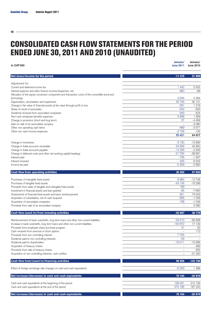$10 -$ 

# CONSOLIDATED CASH FLOW STATEMENTS FOR THE PERIOD ENDED JUNE 30, 2011 AND 2010 (UNAUDITED)

| In CHF'000                                                                                                                                                                                                                                  | January/<br><b>June 2011</b>   | January/<br><b>June 2010</b>          |
|---------------------------------------------------------------------------------------------------------------------------------------------------------------------------------------------------------------------------------------------|--------------------------------|---------------------------------------|
| Net (loss)/income for the period                                                                                                                                                                                                            | $-11475$                       | 31 999                                |
| Adjustments for:<br>Current and deferred income tax<br>Interest expense and other finance income/(expense), net                                                                                                                             | 1442<br>880                    | 5 5 0 5<br>$-66$                      |
| Allocation of the equity conversion component and transaction costs of the convertible bond and<br>borrowings<br>Depreciation, amortization and impairment<br>Change in fair value of financial assets at fair value through profit or loss | 3594<br>30746<br>$-291$        | 4 2 64<br>30 131<br>1 2 1 8           |
| Share of result of associates<br>Dividends received from associated companies<br>Non-cash employee benefits expenses                                                                                                                        | $-542$<br>849<br>3 3 9 8       | $-693$<br>624<br>1929                 |
| Change in provisions (short and long term)<br>Gain on sale of an associated company<br>Other non operating cash items                                                                                                                       | 37<br>$-489$                   | $-4458$<br>$-3080$<br>$-2571$         |
| Other non cash income/expenses                                                                                                                                                                                                              | $-2728$<br>25 4 21             | $-125$<br>64 677                      |
| Change in inventories<br>Change in trade accounts receivable                                                                                                                                                                                | $-3150$<br>54 809              | $-12893$<br>43 850                    |
| Change in trade accounts payable<br>Change in deferred costs and other net working capital headings<br>Interest paid                                                                                                                        | $-14295$<br>$-21794$<br>$-736$ | $-2309$<br>$-39561$<br>$-1557$        |
| Interest received<br>Income tax paid                                                                                                                                                                                                        | 456<br>$-5359$                 | 8 0 0 3<br>$-2660$                    |
| <b>Cash flow from operating activities</b>                                                                                                                                                                                                  | 35 352                         | 57 550                                |
| Purchases of intangible fixed assets<br>Purchases of tangible fixed assets                                                                                                                                                                  | $-9982$<br>$-43106$            | $-12748$<br>$-16299$                  |
| Proceeds from sales of tangible and intangible fixed assets<br>Investment in financial assets and loan granted                                                                                                                              | 199<br>$-95$                   | $-7660$                               |
| Divestments of financial fixed assets and loans reimbursement<br>Acquisition of subsidiaries, net of cash acquired                                                                                                                          | 921<br>$-666$                  | 74 503<br>$-1048$                     |
| Acquisition of associated companies<br>Proceeds from sale of an associated company                                                                                                                                                          | $-168$                         | $-1049$<br>3080                       |
| Cash flow (used in)/from investing activities                                                                                                                                                                                               | $-52897$                       | 38 779                                |
| Reimbursement of bank overdrafts, long term loans and other non-current liabilities<br>Increase in bank overdrafts, long term loans and other non-current liabilities                                                                       | $-33410$<br>140 672            | $-90848$<br>17 129                    |
| Proceeds trom employee share purchase program<br>Cash received from exercise of stock options<br>Proceeds from non controlling interest                                                                                                     | 31<br>7705                     | 33<br>112<br>$\overline{\phantom{a}}$ |
| Dividends paid to non controlling interests<br>Dividends paid to shareholders                                                                                                                                                               | $-29$<br>$-16011$              | $\overline{\phantom{0}}$<br>$-15958$  |
| Acquisition of treasury shares<br>Proceeds from sale of treasury shares<br>Acquisition of non controlling interests, cash outflow                                                                                                           | -<br>$\equiv$<br>÷             | -489<br>605<br>$-31320$               |
| Cash flow from/(used in) financing activities                                                                                                                                                                                               | 98 958                         | $-120736$                             |
| Effect of foreign exchange rate changes on cash and cash equivalents                                                                                                                                                                        | $-6259$                        | 1488                                  |
| Net increase/(decrease) in cash and cash equivalents                                                                                                                                                                                        | 75 154                         | $-22919$                              |
| Cash and cash equivalents at the beginning of the period<br>Cash and cash equivalents at the end of the period                                                                                                                              | 199 031<br>274 185             | 210 139<br>187 220                    |
| Net increase/(decrease) in cash and cash equivalents                                                                                                                                                                                        | 75 154                         | $-22919$                              |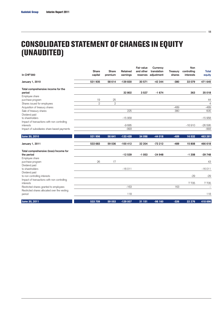# CONSOLIDATED STATEMENT OF CHANGES IN EQUITY (UNAUDITED)

|                                                                                        | Share          | Share          | Retained  | Fair value<br>and other | Currency<br>translation | Treasury | Non<br>controlling | <b>Total</b>   |
|----------------------------------------------------------------------------------------|----------------|----------------|-----------|-------------------------|-------------------------|----------|--------------------|----------------|
| In CHF'000                                                                             | capital        | premium        | earnings  | reserves                | adjustment              | shares   | interests          | equity         |
| January 1, 2010                                                                        | 531935         | 58 614         | $-139830$ | 30 571                  | $-42344$                | $-380$   | 33 079             | 471 645        |
| Total comprehensive income for the                                                     |                |                |           |                         |                         |          |                    |                |
| period                                                                                 |                |                | 32 802    | 3527                    | $-1674$                 |          | 363                | 35 018         |
| Employee share                                                                         |                |                |           |                         |                         |          |                    |                |
| purchase program                                                                       | 19             | 25             |           |                         |                         |          |                    | 44             |
| Shares issued for employees                                                            | $\overline{2}$ | $\overline{2}$ |           |                         |                         |          |                    | $\overline{4}$ |
| Acquisition of treasury shares                                                         |                |                |           |                         |                         | $-489$   |                    | $-489$         |
| Sale of treasury shares                                                                |                |                | 225       |                         |                         | 380      |                    | 605            |
| Dividend paid                                                                          |                |                |           |                         |                         |          |                    |                |
| to shareholders                                                                        |                |                | $-15958$  |                         |                         |          |                    | $-15958$       |
| Impact of transactions with non controlling<br>interests                               |                |                | $-9685$   |                         |                         |          | $-16910$           | $-26595$       |
| Impact of subsidiaries share based payments                                            |                |                | $-993$    |                         |                         |          |                    | $-993$         |
|                                                                                        |                |                |           |                         |                         |          |                    |                |
| <b>June 30, 2010</b>                                                                   | 531 956        | 58 641         | $-133439$ | 34 098                  | $-44018$                | $-489$   | 16 532             | 463 281        |
|                                                                                        |                |                |           |                         |                         |          |                    |                |
| January 1, 2011                                                                        | 533 683        | 59 036         | $-100412$ | 32 204                  | $-73212$                | $-489$   | 15 808             | 466 618        |
| Total comprehensive (loss)/income for                                                  |                |                |           |                         |                         |          |                    |                |
| the period                                                                             |                |                | $-12539$  | $-1053$                 | $-24948$                |          | $-1208$            | $-39748$       |
| Employee share                                                                         |                |                |           |                         |                         |          |                    |                |
| purchase program                                                                       | 26             | 17             |           |                         |                         |          |                    | 43             |
| Dividend paid                                                                          |                |                |           |                         |                         |          |                    |                |
| to shareholders                                                                        |                |                | $-16011$  |                         |                         |          |                    | $-16011$       |
| Dividend paid                                                                          |                |                |           |                         |                         |          |                    |                |
| to non controlling interests                                                           |                |                |           |                         |                         |          | $-29$              | $-29$          |
| Impact of transactions with non controlling<br>interests                               |                |                |           |                         |                         |          | 7705               | 7705           |
|                                                                                        |                |                | $-163$    |                         |                         | 163      |                    |                |
| Restricted shares granted to employees<br>Restricted shares allocated over the vesting |                |                |           |                         |                         |          |                    |                |
| period                                                                                 |                |                | 118       |                         |                         |          |                    | 118            |
|                                                                                        |                |                |           |                         |                         |          |                    |                |
| <b>June 30, 2011</b>                                                                   | 533 709        | 59 053         | $-129007$ | 31 151                  | $-98160$                | $-326$   | 22 276             | 418 696        |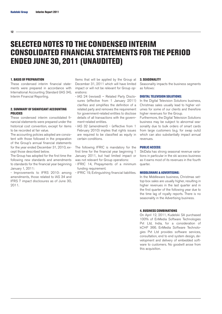#### 1. BASIS OF PREPARATION

These condensed interim financial statements were prepared in accordance with International Accounting Standard (IAS 34), Interim Financial Reporting.

### 2. SUMMARY OF SIGNIFICANT ACCOUNTING **POLICIES**

These condensed interim consolidated financial statements were prepared under the historical cost convention, except for items to be recorded at fair value.

The accounting policies adopted are consistent with those followed in the preparation of the Group's annual financial statements for the year ended December 31, 2010, except those described below.

The Group has adopted for the first time the following new standards and amendments to standards for the financial year beginning January 1, 2011:

- Improvements to IFRS 2010: among amendments, those related to IAS 34 and IFRS 7 impact disclosures as of June 30, 2011.

Items that will be applied by the Group at December 31, 2011 which will have limited impact or will not be relevant for Group operations:

- IAS 24 (revised) Related Party Disclosures (effective from 1 January 2011) clarifies and simplifies the definition of a related party and removes the requirement for government-related entities to disclose details of all transactions with the government-related entities.
- IAS 32 (amendment) (effective from 1 February 2010) implies that rights issues are required to be classified as equity in certain conditions.

The following IFRIC is mandatory for the first time for the financial year beginning 1 January 2011, but had limited impact or was not relevant for Group operations:

- IFRIC 14, Prepayments of a minimum funding requirement.
- IFRIC 19, Extinguishing financial liabilities.

#### 3. SEASONALITY

Seasonality impacts the business segments as follows:

#### DIGITAL TELEVISION SOLUTIONS:

In the Digital Television Solutions business, Christmas sales usually lead to higher volumes for some of our clients and therefore higher revenues for the Group.

Furthermore, the Digital Television Solutions business may be subject to abnormal seasonality due to bulk orders of smart cards from large customers (e.g. for swap outs) which can also substantially impact annual revenues.

#### PUBLIC ACCESS:

SkiData has strong seasonal revenue variations in particular in the ski access business as it earns most of its revenues in the fourth quarter.

#### MIDDLEWARE & ADVERTISING:

In the Middleware business, Christmas settop-box sales are usually higher, resulting in higher revenues in the last quarter and in the first quarter of the following year due to the time lag of royalty reports. There is no seasonality in the Advertising business.

### 4. BUSINESS COMBINATIONS

On April 12, 2011, Kudelski SA purchased 100% of EnMedia Software Technologies Pvt Ltd, India, for a consideration of kCHF 366. EnMedia Software Technologies Pvt Ltd provides software services, consultation, end to end system design, development and delivery of embedded software to customers. No goodwill arose from this acquisition.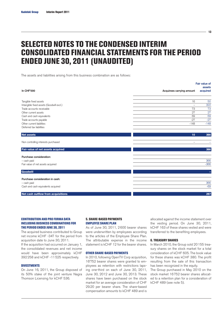The assets and liabilities arising from this business combination are as follows:

|                                                     |                           | <b>Fair value of</b>     |
|-----------------------------------------------------|---------------------------|--------------------------|
| In CHF'000                                          | Acquirees carrying amount | assets<br>acquired       |
| Tangible fixed assets                               | 16                        | 50                       |
| Intangible fixed assets (Goodwill excl.)            | $\qquad \qquad -$         | 322                      |
| Trade accounts receivable                           | 73                        | 73                       |
| Other current assets                                | 27                        | 27                       |
| Cash and cash equivalents                           | 69<br>$-27$               | 69<br>$-27$              |
| Trade accounts payable<br>Other current liabilities | $-148$                    | $-148$                   |
| Deferred tax liabilities                            |                           |                          |
| <b>Net assets</b>                                   | 10                        | 366                      |
| Non controlling interests purchased                 | $\overline{\phantom{0}}$  | $\overline{\phantom{m}}$ |
| Fair value of net assets acquired                   |                           | 366                      |
| Purchase consideration:                             |                           |                          |
| - cash paid                                         |                           | 366                      |
| Fair value of net assets acquired                   |                           | $-366$                   |
| Goodwill                                            |                           | -                        |
| Purchase consideration in cash:                     |                           |                          |
| - cash paid                                         |                           | 366                      |
| Cash and cash equivalents acquired                  |                           | $-69$                    |
| Net cash outflow from acquisitions                  |                           | 297                      |

#### CONTRIBUTION AND PRO FORMA DATA INCLUDING BUSINESS COMBINATIONS FOR THE PERIOD ENDED JUNE 30, 2011

The acquired business contributed to Group net income kCHF -347 for the period from acquisition date to June 30, 2011. If the acquisition had occurred on January 1, the consolidated revenues and net income would have been approximately kCHF 392258 and kCHF -11525 respectively.

#### **DIVESTMENTS**

On June 16, 2011, the Group disposed of its 50% stake of the joint venture Nagra Thomson Licensing for kCHF 536.

### 5. SHARE-BASED PAYMENTS EMPLOYEE SHARE PLAN

As of June 30, 2011, 2600 bearer shares were underwritten by employees according to the articles of the Employee Share Plan. The attributable expense in the income statement is kCHF 12 for the bearer shares.

#### OTHER SHARE-BASED PAYMENTS

In 2010, following OpenTV Corp acquisition, 16'752 bearer shares were granted to employees as retention with restrictions lapsing one-third on each of June 30, 2011, June 30, 2012 and June 30, 2013. These shares have been purchased on the stock market for an average consideration of CHF 29.20 per bearer share. The share-based compensation amounts to kCHF 489 and is

allocated against the income statement over the vesting period. On June 30, 2011, kCHF 163 of these shares vested and were transferred to the benefiting employees.

#### 6. TREASURY SHARES

In March 2010, the Group sold 20155 treasury shares on the stock market for a total consideration of kCHF 605. The book value for these shares was kCHF 380. The profit resulting from the sale of this transaction has been recognized in the equity.

The Group purchased in May 2010 on the stock market 16752 bearer shares allocated to a retention plan for a consideration of kCHF 489 (see note 5).

13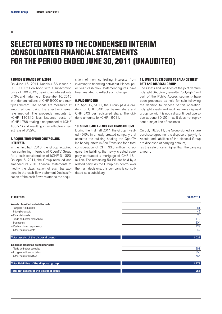### 7. BONDS ISSUANCE 2011/2016

On June 16, 2011 Kudelski SA issued a CHF 110 million bond with a subscription price of 100.284%, bearing an interest rate of 3% and maturing on December 16, 2016 with denominations of CHF 5000 and multiples thereof. The bonds are measured at amortized cost using the effective interest rate method. The proceeds amounts to kCHF 110312 less issuance costs of kCHF 1786 totaling a net proceed of kCHF 108526 and resulting in an effective interest rate of 3.32%.

#### 8. ACQUISITION OF NON CONTROLLING INTERESTS

In the first half 2010, the Group acquired non controlling interests of OpenTV Group for a cash consideration of kCHF 31 320. On April 5, 2011, the Group reissued and amended its 2010 financial statements to modify the classification of such transactions in the cash flow statement (reclassification of the cash flows related to the acqui-

sition of non controlling interests from investing to financing activities). Hence, prior year cash flow statement figures have been restated to reflect such change.

#### 9. PAID DIVIDEND

On April 12, 2011, the Group paid a dividend of CHF 0.30 per bearer share and CHF 0.03 per registered share. The dividend amounts to kCHF 16011.

#### 10. SIGNIFICANT EVENTS AND TRANSACTIONS

During the first half 2011, the Group invested 49.9% in a newly created company that acquired the building hosting the OpenTV Inc headquarters in San Fransisco for a total consideration of CHF 33.5 million. To acquire the building, the newly created company contracted a mortgage of CHF 18.1 million. The remaining 50.1% are held by a related party. As the Group has control over the main decisions, this company is consolidated as a subsidiary.

#### 11. EVENTS SUBSEQUENT TO BALANCE SHEET DATE AND DISPOSAL GROUP

The assets and liabilities of the joint-venture polyright SA, Sion (hereafter "polyright" and part of the Public Access segment) have been presented as held for sale following the decision to dispose of this operation. polyright assets and liabilities are a disposal group. polyright is not a discontinued operation at June 30, 2011 as it does not represent a major line of business.

On July 18, 2011, the Group signed a share purchase agreement to dispose of polyright. Assets and liabilities of the disposal Group are disclosed at carrying amount, as the sale price is higher than the carrying amount.

| 30.06.2011 |
|------------|
|            |
| 61         |
| 48         |
| 26         |
| 412        |
| 304        |
| 129        |
| 42         |
|            |
| 1022       |
|            |
| 361        |
| 350        |
| 566        |
|            |
| 1 278      |
| $-255$     |
|            |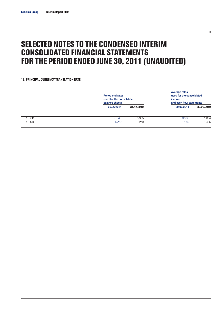### 12. PRINCIPAL CURRENCY TRANSLATION RATE

|            | Period end rates<br>balance sheets | used for the consolidated |            | used for the consolidated<br>and cash flow statements |
|------------|------------------------------------|---------------------------|------------|-------------------------------------------------------|
|            | 30.06.2011                         | 31.12.2010                | 30.06.2011 | 30.06.2010                                            |
| I USD      | 0.845                              | 0.935                     | 0.905      | 1.084                                                 |
| <b>EUR</b> | .220                               | 1.250                     | 1.269      | .435                                                  |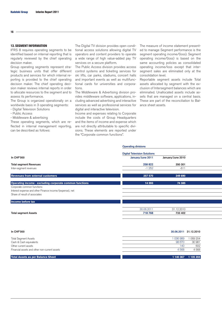#### 13. SEGMENT INFORMATION

IFRS 8 requires operating segments to be identified based on internal reporting that is regularly reviewed by the chief operating decision maker.

Group operating segments represent strategic business units that offer different products and services for which internal reporting is provided to the chief operating decision maker. The chief operating decision maker reviews internal reports in order to allocate resources to the segment and to assess its performance.

The Group is organized operationally on a worldwide basis in 3 operating segments:

- Digital Television Solutions

- Public Access

- Middleware & advertising

These operating segments, which are reflected in internal management reporting, can be described as follows:

The Digital TV division provides open conditional access solutions allowing digital TV operators and content providers to operate a wide range of high value-added pay TV services on a secure platform.

The Public Access division provides access control systems and ticketing services for ski lifts, car parks, stadiums, concert halls and important events as well as multifunctional cards for universities and corporations.

The Middleware & Advertising division provides middleware software, applications, including advanced advertising and interactive services as well as professional services for digital and interactive television.

Income and expenses relating to Corporate include the costs of Group Headquarters and the items of income and expense which are not directly attributable to specific divisions. These elements are reported under the "Corporate common functions".

The measure of income statement presented to manage Segment performance is the segment operating income/(loss). Segment operating income/(loss) is based on the same accounting policies as consolidated operating income/loss except that intersegment sales are eliminated only at the consolidation level.

Reportable segment assets include Total assets allocated by segment with the exclusion of Intersegment balances which are eliminated. Unallocated assets include assets that are managed on a central basis. These are part of the reconciliation to Balance sheet assets.

#### **Operating divisions**

|                                                          | <b>Digital Television Solutions</b> |                   |
|----------------------------------------------------------|-------------------------------------|-------------------|
| In CHF'000                                               | January/June 2011                   | January/June 2010 |
| <b>Total segment Revenues</b>                            | 258 822                             | 350 301           |
| Inter-segment revenues                                   | $-1252$                             | $-611$            |
| <b>Revenues from external customers</b>                  | 257 570                             | 349 690           |
| Operating income - excluding corporate common functions  | 14 5 93                             | 74 385            |
| Corporate common functions                               |                                     |                   |
| Interest expense and other Finance income/(expense), net |                                     |                   |
| Share of result of associates                            |                                     |                   |
| Income before tax                                        |                                     |                   |
|                                                          | 30.06.2011                          | 31.12.2010        |
| <b>Total segment Assets</b>                              | 718768                              | 733 402           |
|                                                          |                                     |                   |

| In CHF'000                                    | 30.06.2011 31.12.2010 |           |
|-----------------------------------------------|-----------------------|-----------|
| <b>Total Segment Assets</b>                   | 1036989               | 069 204   |
| Cash & Cash equivalents                       | 98 670                | 30 981    |
| Other current assets                          | 140                   | 602       |
| Financial assets and other non-current assets | 4568                  | 4568      |
| <b>Total Assets as per Balance Sheet</b>      | 1 140 367             | 1 105 355 |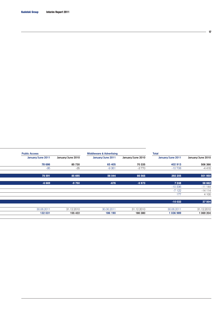| <b>Kudelski Group</b> | <b>Interim Report 2011</b> |
|-----------------------|----------------------------|
|-----------------------|----------------------------|

|                   | <b>Total</b>      |                   | <b>Middleware &amp; Advertising</b> |                   | <b>Public Access</b> |
|-------------------|-------------------|-------------------|-------------------------------------|-------------------|----------------------|
| January/June 2010 | January/June 2011 | January/June 2010 | January/June 2011                   | January/June 2010 | January/June 2011    |
| 506 366           | 402 913           | 70 335            | 65 405                              | 85 730            | 78 686               |
| $-4416$           | $-10708$          | $-3770$           | $-9361$                             | $-35$             | $-95$                |
| 501 950           | 392 205           | 66 565            | 56 044                              | 85 695            | 78 591               |
| 58 662            | 7 2 4 8           | $-5973$           | $-676$                              | $-9750$           | $-6669$              |
| $-111144$         | $-10336$          |                   |                                     |                   |                      |
| $-14114$          | $-7122$           |                   |                                     |                   |                      |
| 4 100             | 177               |                   |                                     |                   |                      |
| 37 504            | $-10033$          |                   |                                     |                   |                      |
| 31.12.2010        | 30.06.2011        | 31.12.2010        | 30.06.2011                          | 31.12.2010        | 30.06.2011           |
| 1 069 204         | 1036989           | 180 380           | 186 190                             | 155 422           | 132 031              |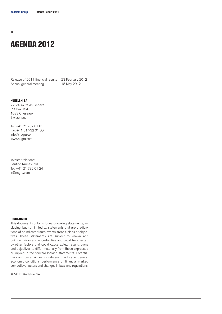# AGENDA 2012

Release of 2011 financial results 23 February 2012 Annual general meeting 15 May 2012

### KUDELSKI SA

22-24, route de Genève PO Box 134 1033 Cheseaux Switzerland

Tel. +41 21 732 01 01 Fax +41 21 732 01 00 info@nagra.com www.nagra.com

Investor relations: Santino Rumasuglia Tel. +41 21 732 01 24 ir@nagra.com

### DISCI AIMER

This document contains forward-looking statements, including, but not limited to, statements that are predications of or indicate future events, trends, plans or objectives. These statements are subject to known and unknown risks and uncertainties and could be affected by other factors that could cause actual results, plans and objectives to differ materially from those expressed or implied in the forward-looking statements. Potential risks and uncertainties include such factors as general economic conditions, performance of financial market, competitive factors and changes in laws and regulations.

© 2011 Kudelski SA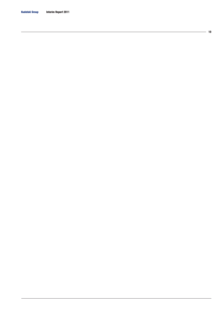Kudelski Group Interim Report 2011